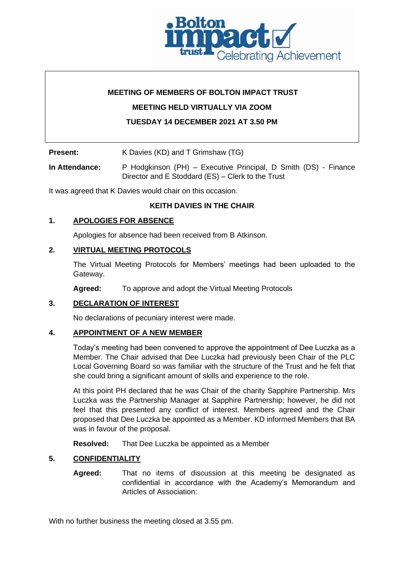

# **MEETING OF MEMBERS OF BOLTON IMPACT TRUST**

**MEETING HELD VIRTUALLY VIA ZOOM** 

# **TUESDAY 14 DECEMBER 2021 AT 3.50 PM**

**Present:** K Davies (KD) and T Grimshaw (TG)

**In Attendance:** P Hodgkinson (PH) – Executive Principal, D Smith (DS) - Finance Director and E Stoddard (ES) – Clerk to the Trust

It was agreed that K Davies would chair on this occasion.

# **KEITH DAVIES IN THE CHAIR**

#### **1. APOLOGIES FOR ABSENCE**

Apologies for absence had been received from B Atkinson.

#### **2. VIRTUAL MEETING PROTOCOLS**

The Virtual Meeting Protocols for Members' meetings had been uploaded to the Gateway.

**Agreed:** To approve and adopt the Virtual Meeting Protocols

# **3. DECLARATION OF INTEREST**

No declarations of pecuniary interest were made.

# **4. APPOINTMENT OF A NEW MEMBER**

Today's meeting had been convened to approve the appointment of Dee Luczka as a Member. The Chair advised that Dee Luczka had previously been Chair of the PLC Local Governing Board so was familiar with the structure of the Trust and he felt that she could bring a significant amount of skills and experience to the role.

At this point PH declared that he was Chair of the charity Sapphire Partnership. Mrs Luczka was the Partnership Manager at Sapphire Partnership; however, he did not feel that this presented any conflict of interest. Members agreed and the Chair proposed that Dee Luczka be appointed as a Member. KD informed Members that BA was in favour of the proposal.

**Resolved:** That Dee Luczka be appointed as a Member

# **5. CONFIDENTIALITY**

**Agreed:** That no items of discussion at this meeting be designated as confidential in accordance with the Academy's Memorandum and Articles of Association:

With no further business the meeting closed at 3.55 pm.